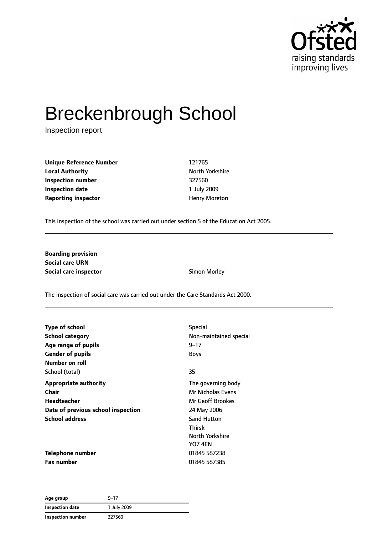

# Breckenbrough School

Inspection report

**Unique Reference Number** 121765 **Local Authority North Yorkshire** North Yorkshire **Inspection number** 327560 **Inspection date** 1 July 2009 **Reporting inspector Example 20 and The Example 20 and The Henry Moreton** 

This inspection of the school was carried out under section 5 of the Education Act 2005.

**Boarding provision Social care URN Social care inspector COVID-10** Simon Morley

The inspection of social care was carried out under the Care Standards Act 2000.

| Type of school                     | <b>Special</b>         |
|------------------------------------|------------------------|
| School category                    | Non-maintained special |
| Age range of pupils                | $9 - 17$               |
| <b>Gender of pupils</b>            | <b>Boys</b>            |
| Number on roll                     |                        |
| School (total)                     | 35                     |
| <b>Appropriate authority</b>       | The governing body     |
| Chair                              | Mr Nicholas Evens      |
| Headteacher                        | Mr Geoff Brookes       |
| Date of previous school inspection | 24 May 2006            |
| <b>School address</b>              | <b>Sand Hutton</b>     |
|                                    | <b>Thirsk</b>          |
|                                    | North Yorkshire        |
|                                    | <b>YO7 4EN</b>         |
| Telephone number                   | 01845 587238           |
| <b>Fax number</b>                  | 01845 587385           |

| Age group         | $9 - 17$    |
|-------------------|-------------|
| Inspection date   | 1 July 2009 |
| Inspection number | 327560      |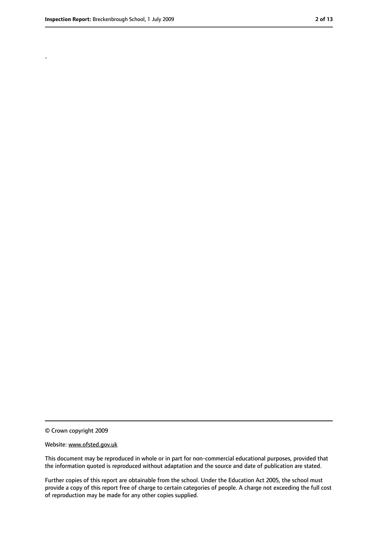.

<sup>©</sup> Crown copyright 2009

Website: www.ofsted.gov.uk

This document may be reproduced in whole or in part for non-commercial educational purposes, provided that the information quoted is reproduced without adaptation and the source and date of publication are stated.

Further copies of this report are obtainable from the school. Under the Education Act 2005, the school must provide a copy of this report free of charge to certain categories of people. A charge not exceeding the full cost of reproduction may be made for any other copies supplied.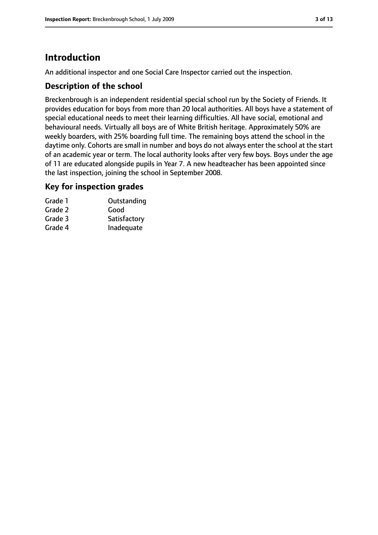# **Introduction**

An additional inspector and one Social Care Inspector carried out the inspection.

## **Description of the school**

Breckenbrough is an independent residential special school run by the Society of Friends. It provides education for boys from more than 20 local authorities. All boys have a statement of special educational needs to meet their learning difficulties. All have social, emotional and behavioural needs. Virtually all boys are of White British heritage. Approximately 50% are weekly boarders, with 25% boarding full time. The remaining boys attend the school in the daytime only. Cohorts are small in number and boys do not always enter the school at the start of an academic year or term. The local authority looks after very few boys. Boys under the age of 11 are educated alongside pupils in Year 7. A new headteacher has been appointed since the last inspection, joining the school in September 2008.

## **Key for inspection grades**

| Grade 1 | Outstanding  |
|---------|--------------|
| Grade 2 | Good         |
| Grade 3 | Satisfactory |
| Grade 4 | Inadequate   |
|         |              |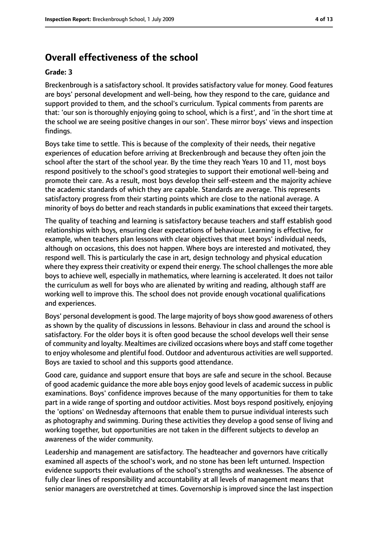# **Overall effectiveness of the school**

#### **Grade: 3**

Breckenbrough is a satisfactory school. It provides satisfactory value for money. Good features are boys' personal development and well-being, how they respond to the care, guidance and support provided to them, and the school's curriculum. Typical comments from parents are that: 'our son is thoroughly enjoying going to school, which is a first', and 'in the short time at the school we are seeing positive changes in our son'. These mirror boys' views and inspection findings.

Boys take time to settle. This is because of the complexity of their needs, their negative experiences of education before arriving at Breckenbrough and because they often join the school after the start of the school year. By the time they reach Years 10 and 11, most boys respond positively to the school's good strategies to support their emotional well-being and promote their care. As a result, most boys develop their self-esteem and the majority achieve the academic standards of which they are capable. Standards are average. This represents satisfactory progress from their starting points which are close to the national average. A minority of boys do better and reach standards in public examinations that exceed their targets.

The quality of teaching and learning is satisfactory because teachers and staff establish good relationships with boys, ensuring clear expectations of behaviour. Learning is effective, for example, when teachers plan lessons with clear objectives that meet boys' individual needs, although on occasions, this does not happen. Where boys are interested and motivated, they respond well. This is particularly the case in art, design technology and physical education where they express their creativity or expend their energy. The school challenges the more able boys to achieve well, especially in mathematics, where learning is accelerated. It does not tailor the curriculum as well for boys who are alienated by writing and reading, although staff are working well to improve this. The school does not provide enough vocational qualifications and experiences.

Boys' personal development is good. The large majority of boys show good awareness of others as shown by the quality of discussions in lessons. Behaviour in class and around the school is satisfactory. For the older boys it is often good because the school develops well their sense of community and loyalty. Mealtimes are civilized occasions where boys and staff come together to enjoy wholesome and plentiful food. Outdoor and adventurous activities are well supported. Boys are taxied to school and this supports good attendance.

Good care, guidance and support ensure that boys are safe and secure in the school. Because of good academic guidance the more able boys enjoy good levels of academic success in public examinations. Boys' confidence improves because of the many opportunities for them to take part in a wide range of sporting and outdoor activities. Most boys respond positively, enjoying the 'options' on Wednesday afternoons that enable them to pursue individual interests such as photography and swimming. During these activities they develop a good sense of living and working together, but opportunities are not taken in the different subjects to develop an awareness of the wider community.

Leadership and management are satisfactory. The headteacher and governors have critically examined all aspects of the school's work, and no stone has been left unturned. Inspection evidence supports their evaluations of the school's strengths and weaknesses. The absence of fully clear lines of responsibility and accountability at all levels of management means that senior managers are overstretched at times. Governorship is improved since the last inspection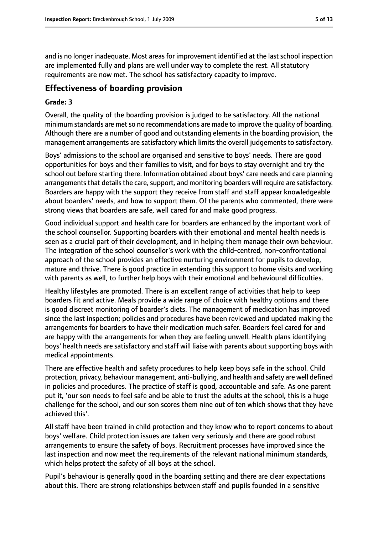and is no longer inadequate. Most areas for improvement identified at the last school inspection are implemented fully and plans are well under way to complete the rest. All statutory requirements are now met. The school has satisfactory capacity to improve.

# **Effectiveness of boarding provision**

#### **Grade: 3**

Overall, the quality of the boarding provision is judged to be satisfactory. All the national minimum standards are met so no recommendations are made to improve the quality of boarding. Although there are a number of good and outstanding elements in the boarding provision, the management arrangements are satisfactory which limits the overall judgements to satisfactory.

Boys' admissions to the school are organised and sensitive to boys' needs. There are good opportunities for boys and their families to visit, and for boys to stay overnight and try the school out before starting there. Information obtained about boys' care needs and care planning arrangements that details the care, support, and monitoring boarders will require are satisfactory. Boarders are happy with the support they receive from staff and staff appear knowledgeable about boarders' needs, and how to support them. Of the parents who commented, there were strong views that boarders are safe, well cared for and make good progress.

Good individual support and health care for boarders are enhanced by the important work of the school counsellor. Supporting boarders with their emotional and mental health needs is seen as a crucial part of their development, and in helping them manage their own behaviour. The integration of the school counsellor's work with the child-centred, non-confrontational approach of the school provides an effective nurturing environment for pupils to develop, mature and thrive. There is good practice in extending this support to home visits and working with parents as well, to further help boys with their emotional and behavioural difficulties.

Healthy lifestyles are promoted. There is an excellent range of activities that help to keep boarders fit and active. Meals provide a wide range of choice with healthy options and there is good discreet monitoring of boarder's diets. The management of medication has improved since the last inspection; policies and procedures have been reviewed and updated making the arrangements for boarders to have their medication much safer. Boarders feel cared for and are happy with the arrangements for when they are feeling unwell. Health plans identifying boys' health needs are satisfactory and staff will liaise with parents about supporting boys with medical appointments.

There are effective health and safety procedures to help keep boys safe in the school. Child protection, privacy, behaviour management, anti-bullying, and health and safety are well defined in policies and procedures. The practice of staff is good, accountable and safe. As one parent put it, 'our son needs to feel safe and be able to trust the adults at the school, this is a huge challenge for the school, and our son scores them nine out of ten which shows that they have achieved this'.

All staff have been trained in child protection and they know who to report concerns to about boys' welfare. Child protection issues are taken very seriously and there are good robust arrangements to ensure the safety of boys. Recruitment processes have improved since the last inspection and now meet the requirements of the relevant national minimum standards, which helps protect the safety of all boys at the school.

Pupil's behaviour is generally good in the boarding setting and there are clear expectations about this. There are strong relationships between staff and pupils founded in a sensitive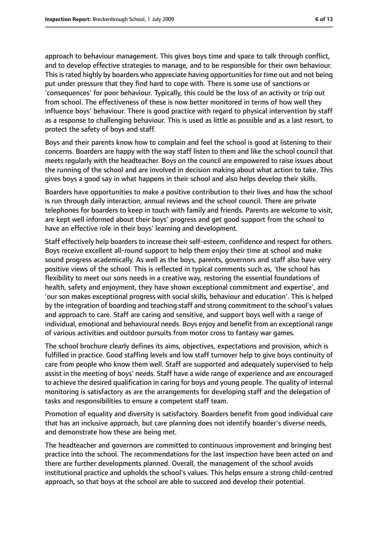protect the safety of boys and staff.

approach to behaviour management. This gives boys time and space to talk through conflict, and to develop effective strategies to manage, and to be responsible for their own behaviour. Thisisrated highly by boarders who appreciate having opportunitiesfor time out and not being put under pressure that they find hard to cope with. There is some use of sanctions or 'consequences' for poor behaviour. Typically, this could be the loss of an activity or trip out from school. The effectiveness of these is now better monitored in terms of how well they influence boys' behaviour. There is good practice with regard to physical intervention by staff as a response to challenging behaviour. This is used as little as possible and as a last resort, to

Boys and their parents know how to complain and feel the school is good at listening to their concerns. Boarders are happy with the way staff listen to them and like the school council that meets regularly with the headteacher. Boys on the council are empowered to raise issues about the running of the school and are involved in decision making about what action to take. This gives boys a good say in what happens in their school and also helps develop their skills.

Boarders have opportunities to make a positive contribution to their lives and how the school is run through daily interaction, annual reviews and the school council. There are private telephones for boarders to keep in touch with family and friends. Parents are welcome to visit, are kept well informed about their boys' progress and get good support from the school to have an effective role in their boys' learning and development.

Staff effectively help boarders to increase their self-esteem, confidence and respect for others. Boys receive excellent all-round support to help them enjoy their time at school and make sound progress academically. As well as the boys, parents, governors and staff also have very positive views of the school. This is reflected in typical comments such as, 'the school has flexibility to meet our sons needs in a creative way, restoring the essential foundations of health, safety and enjoyment, they have shown exceptional commitment and expertise', and 'our son makes exceptional progress with social skills, behaviour and education'. This is helped by the integration of boarding and teaching staff and strong commitment to the school's values and approach to care. Staff are caring and sensitive, and support boys well with a range of individual, emotional and behavioural needs. Boys enjoy and benefit from an exceptional range of various activities and outdoor pursuits from motor cross to fantasy war games.

The school brochure clearly defines its aims, objectives, expectations and provision, which is fulfilled in practice. Good staffing levels and low staff turnover help to give boys continuity of care from people who know them well. Staff are supported and adequately supervised to help assist in the meeting of boys' needs. Staff have a wide range of experience and are encouraged to achieve the desired qualification in caring for boys and young people. The quality of internal monitoring is satisfactory as are the arrangements for developing staff and the delegation of tasks and responsibilities to ensure a competent staff team.

Promotion of equality and diversity is satisfactory. Boarders benefit from good individual care that has an inclusive approach, but care planning does not identify boarder's diverse needs, and demonstrate how these are being met.

The headteacher and governors are committed to continuous improvement and bringing best practice into the school. The recommendations for the last inspection have been acted on and there are further developments planned. Overall, the management of the school avoids institutional practice and upholds the school's values. This helps ensure a strong child-centred approach, so that boys at the school are able to succeed and develop their potential.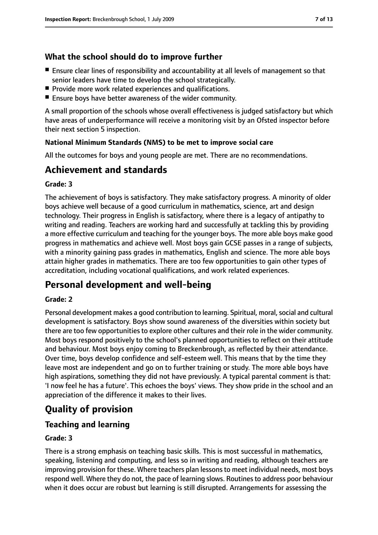# **What the school should do to improve further**

- Ensure clear lines of responsibility and accountability at all levels of management so that senior leaders have time to develop the school strategically.
- Provide more work related experiences and qualifications.
- Ensure boys have better awareness of the wider community.

A small proportion of the schools whose overall effectiveness is judged satisfactory but which have areas of underperformance will receive a monitoring visit by an Ofsted inspector before their next section 5 inspection.

#### **National Minimum Standards (NMS) to be met to improve social care**

All the outcomes for boys and young people are met. There are no recommendations.

# **Achievement and standards**

#### **Grade: 3**

The achievement of boys is satisfactory. They make satisfactory progress. A minority of older boys achieve well because of a good curriculum in mathematics, science, art and design technology. Their progress in English is satisfactory, where there is a legacy of antipathy to writing and reading. Teachers are working hard and successfully at tackling this by providing a more effective curriculum and teaching for the younger boys. The more able boys make good progress in mathematics and achieve well. Most boys gain GCSE passes in a range of subjects, with a minority gaining pass grades in mathematics, English and science. The more able boys attain higher grades in mathematics. There are too few opportunities to gain other types of accreditation, including vocational qualifications, and work related experiences.

# **Personal development and well-being**

#### **Grade: 2**

Personal development makes a good contribution to learning. Spiritual, moral, social and cultural development is satisfactory. Boys show sound awareness of the diversities within society but there are too few opportunities to explore other cultures and their role in the wider community. Most boys respond positively to the school's planned opportunities to reflect on their attitude and behaviour. Most boys enjoy coming to Breckenbrough, as reflected by their attendance. Over time, boys develop confidence and self-esteem well. This means that by the time they leave most are independent and go on to further training or study. The more able boys have high aspirations, something they did not have previously. A typical parental comment is that: 'I now feel he has a future'. This echoes the boys' views. They show pride in the school and an appreciation of the difference it makes to their lives.

# **Quality of provision**

## **Teaching and learning**

#### **Grade: 3**

There is a strong emphasis on teaching basic skills. This is most successful in mathematics, speaking, listening and computing, and less so in writing and reading, although teachers are improving provision for these. Where teachers plan lessons to meet individual needs, most boys respond well. Where they do not, the pace of learning slows. Routinesto address poor behaviour when it does occur are robust but learning is still disrupted. Arrangements for assessing the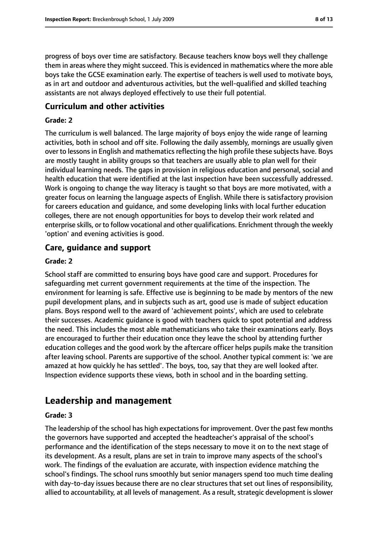progress of boys over time are satisfactory. Because teachers know boys well they challenge them in areas where they might succeed. This is evidenced in mathematics where the more able boys take the GCSE examination early. The expertise of teachers is well used to motivate boys, as in art and outdoor and adventurous activities, but the well-qualified and skilled teaching assistants are not always deployed effectively to use their full potential.

#### **Curriculum and other activities**

#### **Grade: 2**

The curriculum is well balanced. The large majority of boys enjoy the wide range of learning activities, both in school and off site. Following the daily assembly, mornings are usually given over to lessons in English and mathematics reflecting the high profile these subjects have. Boys are mostly taught in ability groups so that teachers are usually able to plan well for their individual learning needs. The gaps in provision in religious education and personal, social and health education that were identified at the last inspection have been successfully addressed. Work is ongoing to change the way literacy is taught so that boys are more motivated, with a greater focus on learning the language aspects of English. While there is satisfactory provision for careers education and guidance, and some developing links with local further education colleges, there are not enough opportunities for boys to develop their work related and enterprise skills, or to follow vocational and other qualifications. Enrichment through the weekly 'option' and evening activities is good.

#### **Care, guidance and support**

#### **Grade: 2**

School staff are committed to ensuring boys have good care and support. Procedures for safeguarding met current government requirements at the time of the inspection. The environment for learning is safe. Effective use is beginning to be made by mentors of the new pupil development plans, and in subjects such as art, good use is made of subject education plans. Boys respond well to the award of 'achievement points', which are used to celebrate their successes. Academic guidance is good with teachers quick to spot potential and address the need. This includes the most able mathematicians who take their examinations early. Boys are encouraged to further their education once they leave the school by attending further education colleges and the good work by the aftercare officer helps pupils make the transition after leaving school. Parents are supportive of the school. Another typical comment is: 'we are amazed at how quickly he has settled'. The boys, too, say that they are well looked after. Inspection evidence supports these views, both in school and in the boarding setting.

# **Leadership and management**

#### **Grade: 3**

The leadership of the school has high expectations for improvement. Over the past few months the governors have supported and accepted the headteacher's appraisal of the school's performance and the identification of the steps necessary to move it on to the next stage of its development. As a result, plans are set in train to improve many aspects of the school's work. The findings of the evaluation are accurate, with inspection evidence matching the school's findings. The school runs smoothly but senior managers spend too much time dealing with day-to-day issues because there are no clear structures that set out lines of responsibility, allied to accountability, at all levels of management. As a result, strategic development is slower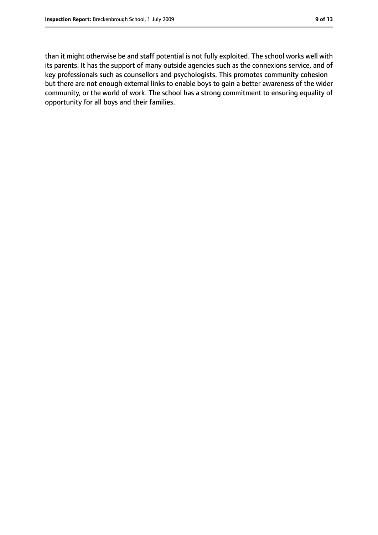than it might otherwise be and staff potential is not fully exploited. The school works well with its parents. It has the support of many outside agencies such as the connexions service, and of key professionals such as counsellors and psychologists. This promotes community cohesion but there are not enough external links to enable boys to gain a better awareness of the wider community, or the world of work. The school has a strong commitment to ensuring equality of opportunity for all boys and their families.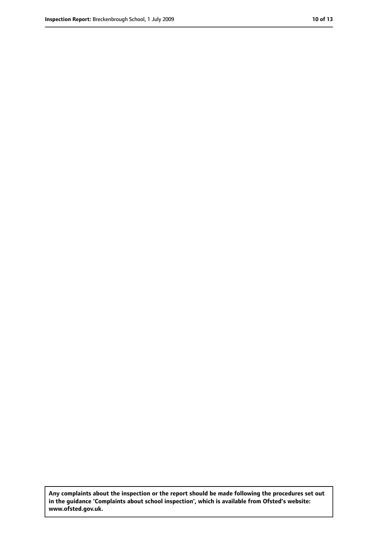**Any complaints about the inspection or the report should be made following the procedures set out in the guidance 'Complaints about school inspection', which is available from Ofsted's website: www.ofsted.gov.uk.**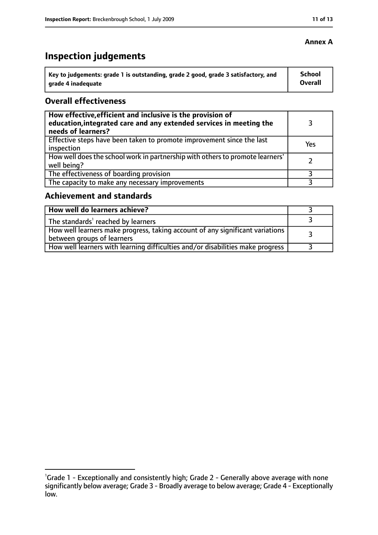#### **Annex A**

# **Inspection judgements**

| $^{\backprime}$ Key to judgements: grade 1 is outstanding, grade 2 good, grade 3 satisfactory, and | School  |
|----------------------------------------------------------------------------------------------------|---------|
| arade 4 inadequate                                                                                 | Overall |

## **Overall effectiveness**

| How effective, efficient and inclusive is the provision of<br>education, integrated care and any extended services in meeting the<br>needs of learners? |     |
|---------------------------------------------------------------------------------------------------------------------------------------------------------|-----|
| Effective steps have been taken to promote improvement since the last<br>inspection                                                                     | Yes |
| How well does the school work in partnership with others to promote learners'<br>well being?                                                            |     |
| The effectiveness of boarding provision                                                                                                                 |     |
| The capacity to make any necessary improvements                                                                                                         |     |

## **Achievement and standards**

| How well do learners achieve?                                                                               |  |
|-------------------------------------------------------------------------------------------------------------|--|
| The standards <sup>1</sup> reached by learners                                                              |  |
| How well learners make progress, taking account of any significant variations<br>between groups of learners |  |
| How well learners with learning difficulties and/or disabilities make progress                              |  |

<sup>&</sup>lt;sup>1</sup>Grade 1 - Exceptionally and consistently high; Grade 2 - Generally above average with none significantly below average; Grade 3 - Broadly average to below average; Grade 4 - Exceptionally low.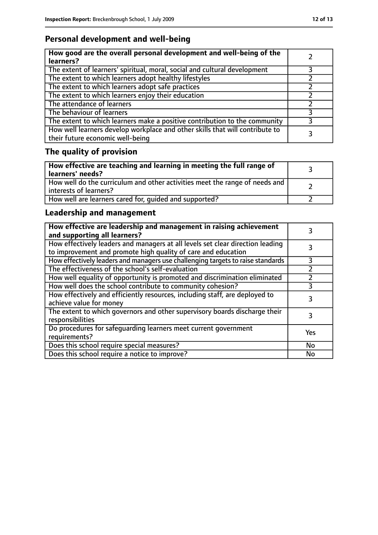# **Personal development and well-being**

| How good are the overall personal development and well-being of the<br>learners?                                 |  |
|------------------------------------------------------------------------------------------------------------------|--|
| The extent of learners' spiritual, moral, social and cultural development                                        |  |
| The extent to which learners adopt healthy lifestyles                                                            |  |
| The extent to which learners adopt safe practices                                                                |  |
| The extent to which learners enjoy their education                                                               |  |
| The attendance of learners                                                                                       |  |
| The behaviour of learners                                                                                        |  |
| The extent to which learners make a positive contribution to the community                                       |  |
| How well learners develop workplace and other skills that will contribute to<br>their future economic well-being |  |

# **The quality of provision**

| How effective are teaching and learning in meeting the full range of<br>learners' needs?              |  |
|-------------------------------------------------------------------------------------------------------|--|
| How well do the curriculum and other activities meet the range of needs and<br>interests of learners? |  |
| How well are learners cared for, quided and supported?                                                |  |

# **Leadership and management**

| How effective are leadership and management in raising achievement<br>and supporting all learners?                                              |     |
|-------------------------------------------------------------------------------------------------------------------------------------------------|-----|
| How effectively leaders and managers at all levels set clear direction leading<br>to improvement and promote high quality of care and education |     |
| How effectively leaders and managers use challenging targets to raise standards                                                                 | 3   |
| The effectiveness of the school's self-evaluation                                                                                               |     |
| How well equality of opportunity is promoted and discrimination eliminated                                                                      |     |
| How well does the school contribute to community cohesion?                                                                                      | 3   |
| How effectively and efficiently resources, including staff, are deployed to<br>achieve value for money                                          |     |
| The extent to which governors and other supervisory boards discharge their<br>responsibilities                                                  |     |
| Do procedures for safequarding learners meet current government<br>requirements?                                                                | Yes |
| Does this school require special measures?                                                                                                      | No  |
| Does this school require a notice to improve?                                                                                                   | No  |